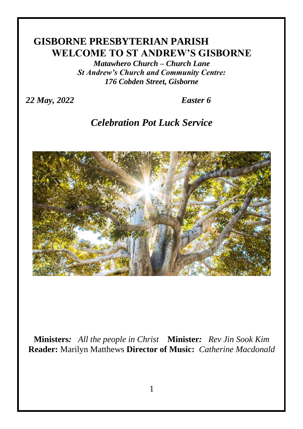# **GISBORNE PRESBYTERIAN PARISH WELCOME TO ST ANDREW'S GISBORNE**

*Matawhero Church – Church Lane St Andrew's Church and Community Centre: 176 Cobden Street, Gisborne* 

*22 May, 2022 Easter 6*

# *Celebration Pot Luck Service*



**Ministers***: All the people in Christ* **Minister***: Rev Jin Sook Kim* **Reader:** Marilyn Matthews **Director of Music:** *Catherine Macdonald*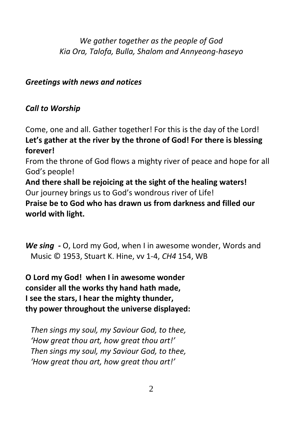*We gather together as the people of God Kia Ora, Talofa, Bulla, Shalom and Annyeong-haseyo*

#### *Greetings with news and notices*

### *Call to Worship*

Come, one and all. Gather together! For this is the day of the Lord! **Let's gather at the river by the throne of God! For there is blessing forever!** From the throne of God flows a mighty river of peace and hope for all God's people! **And there shall be rejoicing at the sight of the healing waters!** Our journey brings us to God's wondrous river of Life! **Praise be to God who has drawn us from darkness and filled our world with light.**

*We sing -* O, Lord my God, when I in awesome wonder, Words and Music © 1953, Stuart K. Hine, vv 1-4, *CH4* 154, WB

**O Lord my God! when I in awesome wonder consider all the works thy hand hath made, I see the stars, I hear the mighty thunder, thy power throughout the universe displayed:**

*Then sings my soul, my Saviour God, to thee, 'How great thou art, how great thou art!' Then sings my soul, my Saviour God, to thee, 'How great thou art, how great thou art!'*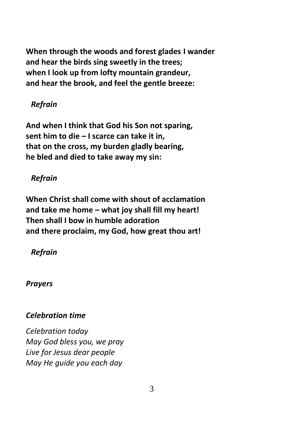**When through the woods and forest glades I wander and hear the birds sing sweetly in the trees; when I look up from lofty mountain grandeur, and hear the brook, and feel the gentle breeze:**

### *Refrain*

**And when I think that God his Son not sparing, sent him to die – I scarce can take it in, that on the cross, my burden gladly bearing, he bled and died to take away my sin:**

## *Refrain*

**When Christ shall come with shout of acclamation and take me home – what joy shall fill my heart! Then shall I bow in humble adoration and there proclaim, my God, how great thou art!**

## *Refrain*

### *Prayers*

### *Celebration time*

*Celebration today May God bless you, we pray Live for Jesus dear people May He guide you each day*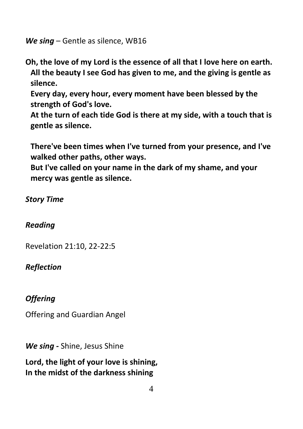We sing - Gentle as silence, WB16

**Oh, the love of my Lord is the essence of all that I love here on earth. All the beauty I see God has given to me, and the giving is gentle as silence.**

**Every day, every hour, every moment have been blessed by the strength of God's love.**

**At the turn of each tide God is there at my side, with a touch that is gentle as silence.**

**There've been times when I've turned from your presence, and I've walked other paths, other ways.**

**But I've called on your name in the dark of my shame, and your mercy was gentle as silence.**

### *Story Time*

### *Reading*

Revelation 21:10, 22-22:5

### *Reflection*

### *Offering*

Offering and Guardian Angel

*We sing -* Shine, Jesus Shine

**Lord, the light of your love is shining, In the midst of the darkness shining**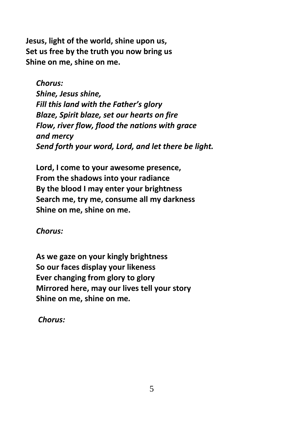**Jesus, light of the world, shine upon us, Set us free by the truth you now bring us Shine on me, shine on me.**

*Chorus: Shine, Jesus shine, Fill this land with the Father's glory Blaze, Spirit blaze, set our hearts on fire Flow, river flow, flood the nations with grace and mercy Send forth your word, Lord, and let there be light.*

**Lord, I come to your awesome presence, From the shadows into your radiance By the blood I may enter your brightness Search me, try me, consume all my darkness Shine on me, shine on me.** 

*Chorus:*

**As we gaze on your kingly brightness So our faces display your likeness Ever changing from glory to glory Mirrored here, may our lives tell your story Shine on me, shine on me***.* 

*Chorus:*